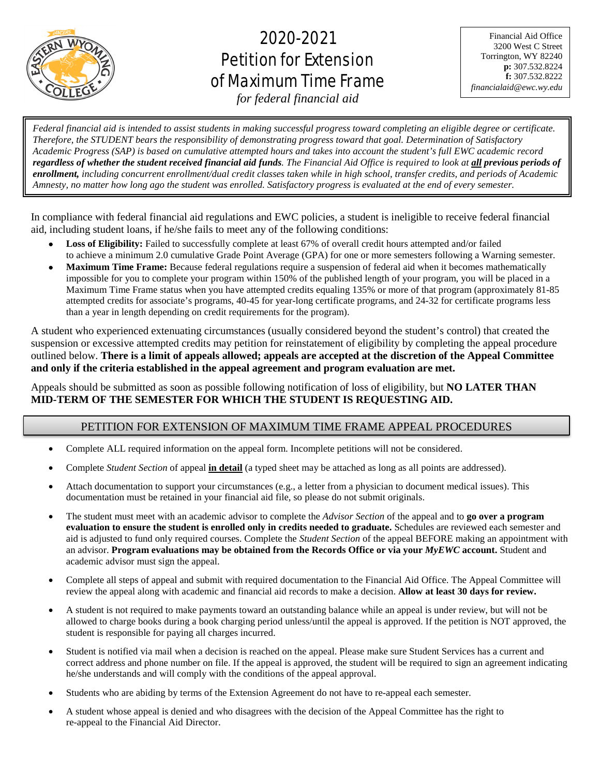

# 2020-2021 Petition for Extension of Maximum Time Frame

Financial Aid Office 3200 West C Street Torrington, WY 82240 **p:** 307.532.8224 **f:** 307.532.8222 *financialaid@ewc.wy.edu*

*for federal financial aid*

֡֡֡֡֡֡ j .<br>. ì l ׇׇ֧֬ *Federal financial aid is intended to assist students in making successful progress toward completing an eligible degree or certificate. Therefore, the STUDENT bears the responsibility of demonstrating progress toward that goal. Determination of Satisfactory Academic Progress (SAP) is based on cumulative attempted hours and takes into account the student's full EWC academic record regardless of whether the student received financial aid funds. The Financial Aid Office is required to look at all previous periods of enrollment, including concurrent enrollment/dual credit classes taken while in high school, transfer credits, and periods of Academic Amnesty, no matter how long ago the student was enrolled. Satisfactory progress is evaluated at the end of every semester.*

In compliance with federal financial aid regulations and EWC policies, a student is ineligible to receive federal financial aid, including student loans, if he/she fails to meet any of the following conditions:

- **Loss of Eligibility:** Failed to successfully complete at least 67% of overall credit hours attempted and/or failed to achieve a minimum 2.0 cumulative Grade Point Average (GPA) for one or more semesters following a Warning semester.
- **Maximum Time Frame:** Because federal regulations require a suspension of federal aid when it becomes mathematically impossible for you to complete your program within 150% of the published length of your program, you will be placed in a Maximum Time Frame status when you have attempted credits equaling 135% or more of that program (approximately 81-85 attempted credits for associate's programs, 40-45 for year-long certificate programs, and 24-32 for certificate programs less than a year in length depending on credit requirements for the program).

A student who experienced extenuating circumstances (usually considered beyond the student's control) that created the suspension or excessive attempted credits may petition for reinstatement of eligibility by completing the appeal procedure outlined below. **There is a limit of appeals allowed; appeals are accepted at the discretion of the Appeal Committee and only if the criteria established in the appeal agreement and program evaluation are met.**

Appeals should be submitted as soon as possible following notification of loss of eligibility, but **NO LATER THAN MID-TERM OF THE SEMESTER FOR WHICH THE STUDENT IS REQUESTING AID.**

#### PETITION FOR EXTENSION OF MAXIMUM TIME FRAME APPEAL PROCEDURES

- Complete ALL required information on the appeal form. Incomplete petitions will not be considered.
- Complete *Student Section* of appeal **in detail** (a typed sheet may be attached as long as all points are addressed).
- Attach documentation to support your circumstances (e.g., a letter from a physician to document medical issues). This documentation must be retained in your financial aid file, so please do not submit originals.
- The student must meet with an academic advisor to complete the *Advisor Section* of the appeal and to **go over a program evaluation to ensure the student is enrolled only in credits needed to graduate.** Schedules are reviewed each semester and aid is adjusted to fund only required courses. Complete the *Student Section* of the appeal BEFORE making an appointment with an advisor. **Program evaluations may be obtained from the Records Office or via your** *MyEWC* **account.** Student and academic advisor must sign the appeal.
- Complete all steps of appeal and submit with required documentation to the Financial Aid Office. The Appeal Committee will review the appeal along with academic and financial aid records to make a decision. **Allow at least 30 days for review.**
- A student is not required to make payments toward an outstanding balance while an appeal is under review, but will not be allowed to charge books during a book charging period unless/until the appeal is approved. If the petition is NOT approved, the student is responsible for paying all charges incurred.
- Student is notified via mail when a decision is reached on the appeal. Please make sure Student Services has a current and correct address and phone number on file. If the appeal is approved, the student will be required to sign an agreement indicating he/she understands and will comply with the conditions of the appeal approval.
- Students who are abiding by terms of the Extension Agreement do not have to re-appeal each semester.
- A student whose appeal is denied and who disagrees with the decision of the Appeal Committee has the right to re-appeal to the Financial Aid Director.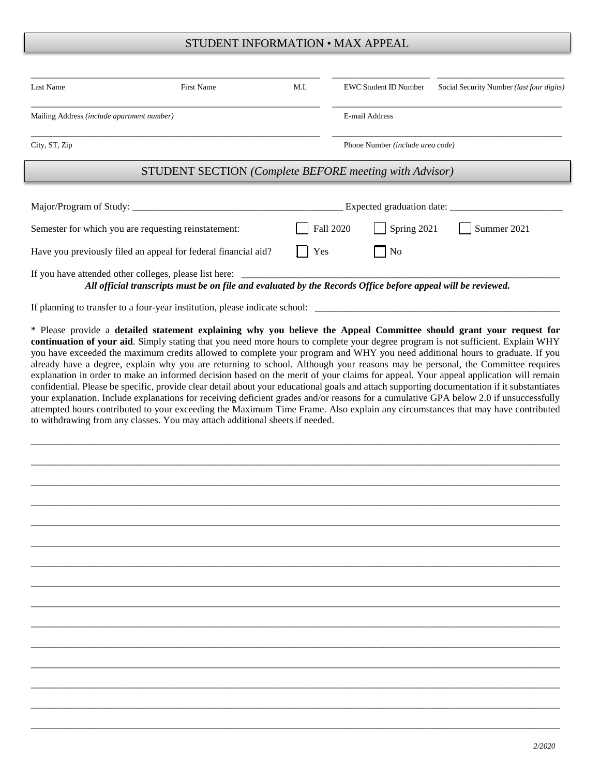#### STUDENT INFORMATION • MAX APPEAL

| Last Name                                                      | <b>First Name</b>                                                                                                                                                                                | M.I. | <b>EWC Student ID Number</b>     |             | Social Security Number (last four digits) |
|----------------------------------------------------------------|--------------------------------------------------------------------------------------------------------------------------------------------------------------------------------------------------|------|----------------------------------|-------------|-------------------------------------------|
| Mailing Address (include apartment number)                     |                                                                                                                                                                                                  |      | E-mail Address                   |             |                                           |
| City, ST, Zip                                                  |                                                                                                                                                                                                  |      | Phone Number (include area code) |             |                                           |
|                                                                | <b>STUDENT SECTION</b> (Complete BEFORE meeting with Advisor)                                                                                                                                    |      |                                  |             |                                           |
|                                                                |                                                                                                                                                                                                  |      | Expected graduation date:        |             |                                           |
|                                                                | Semester for which you are requesting reinstatement:                                                                                                                                             |      | Fall 2020                        | Spring 2021 | Summer 2021                               |
| Have you previously filed an appeal for federal financial aid? |                                                                                                                                                                                                  | Yes  | $\vert$ No                       |             |                                           |
|                                                                | If you have attended other colleges, please list here: _________________________<br>All official transcripts must be on file and evaluated by the Records Office before appeal will be reviewed. |      |                                  |             |                                           |
|                                                                | If planning to transfer to a four-year institution, please indicate school:                                                                                                                      |      |                                  |             |                                           |

\* Please provide a **detailed statement explaining why you believe the Appeal Committee should grant your request for continuation of your aid**. Simply stating that you need more hours to complete your degree program is not sufficient. Explain WHY you have exceeded the maximum credits allowed to complete your program and WHY you need additional hours to graduate. If you already have a degree, explain why you are returning to school. Although your reasons may be personal, the Committee requires explanation in order to make an informed decision based on the merit of your claims for appeal. Your appeal application will remain confidential. Please be specific, provide clear detail about your educational goals and attach supporting documentation if it substantiates your explanation. Include explanations for receiving deficient grades and/or reasons for a cumulative GPA below 2.0 if unsuccessfully attempted hours contributed to your exceeding the Maximum Time Frame. Also explain any circumstances that may have contributed to withdrawing from any classes. You may attach additional sheets if needed.

\_\_\_\_\_\_\_\_\_\_\_\_\_\_\_\_\_\_\_\_\_\_\_\_\_\_\_\_\_\_\_\_\_\_\_\_\_\_\_\_\_\_\_\_\_\_\_\_\_\_\_\_\_\_\_\_\_\_\_\_\_\_\_\_\_\_\_\_\_\_\_\_\_\_\_\_\_\_\_\_\_\_\_\_\_\_\_\_\_\_\_\_\_\_\_\_\_\_\_\_\_\_\_\_\_\_\_\_

\_\_\_\_\_\_\_\_\_\_\_\_\_\_\_\_\_\_\_\_\_\_\_\_\_\_\_\_\_\_\_\_\_\_\_\_\_\_\_\_\_\_\_\_\_\_\_\_\_\_\_\_\_\_\_\_\_\_\_\_\_\_\_\_\_\_\_\_\_\_\_\_\_\_\_\_\_\_\_\_\_\_\_\_\_\_\_\_\_\_\_\_\_\_\_\_\_\_\_\_\_\_\_\_\_\_\_\_

\_\_\_\_\_\_\_\_\_\_\_\_\_\_\_\_\_\_\_\_\_\_\_\_\_\_\_\_\_\_\_\_\_\_\_\_\_\_\_\_\_\_\_\_\_\_\_\_\_\_\_\_\_\_\_\_\_\_\_\_\_\_\_\_\_\_\_\_\_\_\_\_\_\_\_\_\_\_\_\_\_\_\_\_\_\_\_\_\_\_\_\_\_\_\_\_\_\_\_\_\_\_\_\_\_\_\_\_

\_\_\_\_\_\_\_\_\_\_\_\_\_\_\_\_\_\_\_\_\_\_\_\_\_\_\_\_\_\_\_\_\_\_\_\_\_\_\_\_\_\_\_\_\_\_\_\_\_\_\_\_\_\_\_\_\_\_\_\_\_\_\_\_\_\_\_\_\_\_\_\_\_\_\_\_\_\_\_\_\_\_\_\_\_\_\_\_\_\_\_\_\_\_\_\_\_\_\_\_\_\_\_\_\_\_\_\_

\_\_\_\_\_\_\_\_\_\_\_\_\_\_\_\_\_\_\_\_\_\_\_\_\_\_\_\_\_\_\_\_\_\_\_\_\_\_\_\_\_\_\_\_\_\_\_\_\_\_\_\_\_\_\_\_\_\_\_\_\_\_\_\_\_\_\_\_\_\_\_\_\_\_\_\_\_\_\_\_\_\_\_\_\_\_\_\_\_\_\_\_\_\_\_\_\_\_\_\_\_\_\_\_\_\_\_\_

\_\_\_\_\_\_\_\_\_\_\_\_\_\_\_\_\_\_\_\_\_\_\_\_\_\_\_\_\_\_\_\_\_\_\_\_\_\_\_\_\_\_\_\_\_\_\_\_\_\_\_\_\_\_\_\_\_\_\_\_\_\_\_\_\_\_\_\_\_\_\_\_\_\_\_\_\_\_\_\_\_\_\_\_\_\_\_\_\_\_\_\_\_\_\_\_\_\_\_\_\_\_\_\_\_\_\_\_

\_\_\_\_\_\_\_\_\_\_\_\_\_\_\_\_\_\_\_\_\_\_\_\_\_\_\_\_\_\_\_\_\_\_\_\_\_\_\_\_\_\_\_\_\_\_\_\_\_\_\_\_\_\_\_\_\_\_\_\_\_\_\_\_\_\_\_\_\_\_\_\_\_\_\_\_\_\_\_\_\_\_\_\_\_\_\_\_\_\_\_\_\_\_\_\_\_\_\_\_\_\_\_\_\_\_\_\_

\_\_\_\_\_\_\_\_\_\_\_\_\_\_\_\_\_\_\_\_\_\_\_\_\_\_\_\_\_\_\_\_\_\_\_\_\_\_\_\_\_\_\_\_\_\_\_\_\_\_\_\_\_\_\_\_\_\_\_\_\_\_\_\_\_\_\_\_\_\_\_\_\_\_\_\_\_\_\_\_\_\_\_\_\_\_\_\_\_\_\_\_\_\_\_\_\_\_\_\_\_\_\_\_\_\_\_\_

\_\_\_\_\_\_\_\_\_\_\_\_\_\_\_\_\_\_\_\_\_\_\_\_\_\_\_\_\_\_\_\_\_\_\_\_\_\_\_\_\_\_\_\_\_\_\_\_\_\_\_\_\_\_\_\_\_\_\_\_\_\_\_\_\_\_\_\_\_\_\_\_\_\_\_\_\_\_\_\_\_\_\_\_\_\_\_\_\_\_\_\_\_\_\_\_\_\_\_\_\_\_\_\_\_\_\_\_

\_\_\_\_\_\_\_\_\_\_\_\_\_\_\_\_\_\_\_\_\_\_\_\_\_\_\_\_\_\_\_\_\_\_\_\_\_\_\_\_\_\_\_\_\_\_\_\_\_\_\_\_\_\_\_\_\_\_\_\_\_\_\_\_\_\_\_\_\_\_\_\_\_\_\_\_\_\_\_\_\_\_\_\_\_\_\_\_\_\_\_\_\_\_\_\_\_\_\_\_\_\_\_\_\_\_\_\_

\_\_\_\_\_\_\_\_\_\_\_\_\_\_\_\_\_\_\_\_\_\_\_\_\_\_\_\_\_\_\_\_\_\_\_\_\_\_\_\_\_\_\_\_\_\_\_\_\_\_\_\_\_\_\_\_\_\_\_\_\_\_\_\_\_\_\_\_\_\_\_\_\_\_\_\_\_\_\_\_\_\_\_\_\_\_\_\_\_\_\_\_\_\_\_\_\_\_\_\_\_\_\_\_\_\_\_\_

\_\_\_\_\_\_\_\_\_\_\_\_\_\_\_\_\_\_\_\_\_\_\_\_\_\_\_\_\_\_\_\_\_\_\_\_\_\_\_\_\_\_\_\_\_\_\_\_\_\_\_\_\_\_\_\_\_\_\_\_\_\_\_\_\_\_\_\_\_\_\_\_\_\_\_\_\_\_\_\_\_\_\_\_\_\_\_\_\_\_\_\_\_\_\_\_\_\_\_\_\_\_\_\_\_\_\_\_

\_\_\_\_\_\_\_\_\_\_\_\_\_\_\_\_\_\_\_\_\_\_\_\_\_\_\_\_\_\_\_\_\_\_\_\_\_\_\_\_\_\_\_\_\_\_\_\_\_\_\_\_\_\_\_\_\_\_\_\_\_\_\_\_\_\_\_\_\_\_\_\_\_\_\_\_\_\_\_\_\_\_\_\_\_\_\_\_\_\_\_\_\_\_\_\_\_\_\_\_\_\_\_\_\_\_\_\_

\_\_\_\_\_\_\_\_\_\_\_\_\_\_\_\_\_\_\_\_\_\_\_\_\_\_\_\_\_\_\_\_\_\_\_\_\_\_\_\_\_\_\_\_\_\_\_\_\_\_\_\_\_\_\_\_\_\_\_\_\_\_\_\_\_\_\_\_\_\_\_\_\_\_\_\_\_\_\_\_\_\_\_\_\_\_\_\_\_\_\_\_\_\_\_\_\_\_\_\_\_\_\_\_\_\_\_\_

\_\_\_\_\_\_\_\_\_\_\_\_\_\_\_\_\_\_\_\_\_\_\_\_\_\_\_\_\_\_\_\_\_\_\_\_\_\_\_\_\_\_\_\_\_\_\_\_\_\_\_\_\_\_\_\_\_\_\_\_\_\_\_\_\_\_\_\_\_\_\_\_\_\_\_\_\_\_\_\_\_\_\_\_\_\_\_\_\_\_\_\_\_\_\_\_\_\_\_\_\_\_\_\_\_\_\_\_